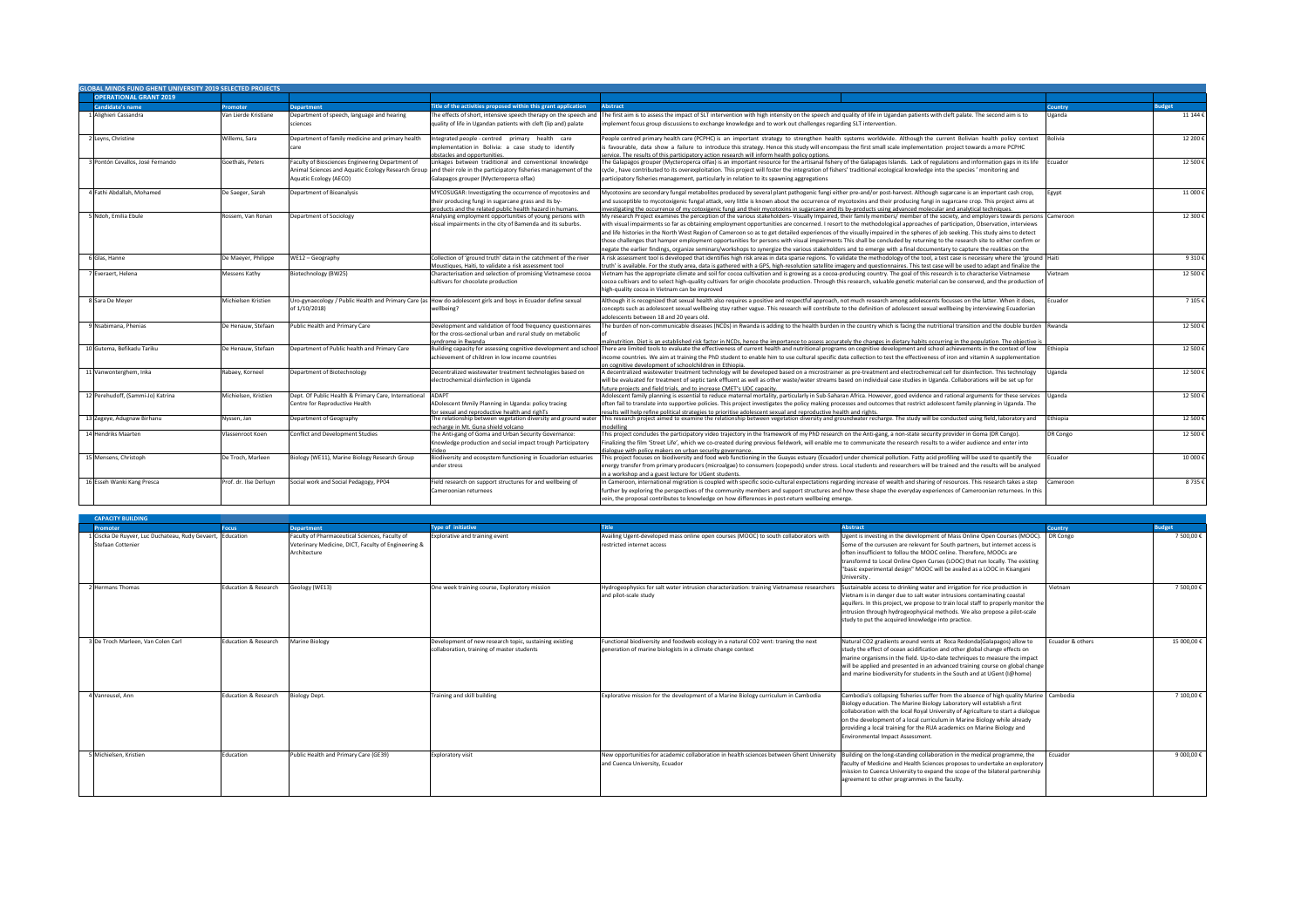| <b>CAPACITY BUILDING</b>                                                        |                                 |                                                                                                                       |                                                                                                      |                                                                                                                                                    |                                                                                                                                                                                                                                                                                                                                                                                                                                                    |                  |               |
|---------------------------------------------------------------------------------|---------------------------------|-----------------------------------------------------------------------------------------------------------------------|------------------------------------------------------------------------------------------------------|----------------------------------------------------------------------------------------------------------------------------------------------------|----------------------------------------------------------------------------------------------------------------------------------------------------------------------------------------------------------------------------------------------------------------------------------------------------------------------------------------------------------------------------------------------------------------------------------------------------|------------------|---------------|
| <b>Promoter</b>                                                                 | <b>Focus</b>                    | <b>Department</b>                                                                                                     | <b>Type of initiative</b>                                                                            | Title                                                                                                                                              | <b>Abstract</b>                                                                                                                                                                                                                                                                                                                                                                                                                                    | <b>Country</b>   | <b>Budget</b> |
| 1 Ciscka De Ruyver, Luc Duchateau, Rudy Gevaert, Education<br>Stefaan Cottenier |                                 | Faculty of Pharmaceutical Sciences, Faculty of<br>Veterinary Medicine, DICT, Faculty of Engineering &<br>Architecture | Explorative and training event                                                                       | Availing Ugent-developed mass online open courses (MOOC) to south collaborators with<br><b>I</b> restricted internet access                        | Ugent is investing in the development of Mass Online Open Courses (MOOC).   DR Congo<br>Some of the cursusen are relevant for South partners, but internet access is<br>often insufficient to follou the MOOC online. Therefore, MOOCs are<br>transformd to Local Online Open Curses (LOOC) that run locally. The existing<br>"basic experimental design" MOOC will be availed as a LOOC in Kisangani<br>University                                |                  | 7 500,00 €    |
| 2 Hermans Thomas                                                                | Education & Research            | Geology (WE13)                                                                                                        | One week training course, Exploratory mission                                                        | Hydrogeophysics for salt water intrusion characterization: training Vietnamese researchers<br>and pilot-scale study                                | Sustainable access to drinking water and irrigation for rice production in<br>Vietnam is in danger due to salt water intrusions contaminating coastal<br>aquifers. In this project, we propose to train local staff to properly monitor the<br>intrusion through hydrogeophysical methods. We also propose a pilot-scale<br>study to put the acquired knowledge into practice.                                                                     | Vietnam          | 7 500,00 €    |
| 3 De Troch Marleen, Van Colen Carl                                              | <b>Education &amp; Research</b> | <b>Marine Biology</b>                                                                                                 | Development of new research topic, sustaining existing<br>collaboration, training of master students | Functional biodiversity and foodweb ecology in a natural CO2 vent: traning the next<br>generation of marine biologists in a climate change context | Natural CO2 gradients around vents at Roca Redonda(Galapagos) allow to<br>study the effect of ocean acidification and other global change effects on<br>marine organisms in the field. Up-to-date techniques to measure the impact<br>will be applied and presented in an advanced training course on global change<br>and marine biodiversity for students in the South and at UGent (I@home)                                                     | Ecuador & others | 15 000,00 €   |
| 4 Vanreusel, Ann                                                                | <b>Education &amp; Research</b> | <b>Biology Dept.</b>                                                                                                  | Training and skill building                                                                          | Explorative mission for the development of a Marine Biology curriculum in Cambodia                                                                 | Cambodia's collapsing fisheries suffer from the absence of high quality Marine   Cambodia<br>Biology education. The Marine Biology Laboratory will establish a first<br>collaboration with the local Royal University of Agriculture to start a dialogue<br>on the development of a local curriculum in Marine Biology while already<br>providing a local training for the RUA academics on Marine Biology and<br>Environmental Impact Assessment. |                  | 7 100,00 €    |
| 5 Michielsen, Kristien                                                          | Education                       | Public Health and Primary Care (GE39)                                                                                 | <b>Exploratory visit</b>                                                                             | New opportunities for academic collaboration in health sciences between Ghent University<br>and Cuenca University, Ecuador                         | Building on the long-standing collaboration in the medical programme, the<br>faculty of Medicine and Health Sciences proposes to undertake an exploratory<br>mission to Cuenca University to expand the scope of the bilateral partnership<br>agreement to other programmes in the faculty.                                                                                                                                                        | Ecuador          | 9 000,00 €    |

| <b>GLOBAL MINDS FUND GHENT UNIVERSITY 2019 SELECTED PROJECTS</b> |                        |                                                            |                                                                                                                |                                                                                                                                                                                                                                        |                |               |
|------------------------------------------------------------------|------------------------|------------------------------------------------------------|----------------------------------------------------------------------------------------------------------------|----------------------------------------------------------------------------------------------------------------------------------------------------------------------------------------------------------------------------------------|----------------|---------------|
| <b>OPERATIONAL GRANT 2019</b>                                    |                        |                                                            |                                                                                                                |                                                                                                                                                                                                                                        |                |               |
| <b>Candidate's name</b>                                          | <b>Promoter</b>        | <b>Department</b>                                          | Title of the activities proposed within this grant application                                                 | <b>Abstract</b>                                                                                                                                                                                                                        | <b>Country</b> | <b>Budget</b> |
| 1 Alighieri Cassandra                                            | Van Lierde Kristiane   | Department of speech, language and hearing                 | The effects of short, intensive speech therapy on the speech and                                               | The first aim is to assess the impact of SLT intervention with high intensity on the speech and quality of life in Ugandan patients with cleft palate. The second aim is to                                                            | Uganda         | 11 144 €      |
|                                                                  |                        | sciences                                                   | quality of life in Ugandan patients with cleft (lip and) palate                                                | implement focus group discussions to exchange knowledge and to work out challenges regarding SLT intervention.                                                                                                                         |                |               |
| 2 Leyns, Christine                                               | Willems, Sara          | Department of family medicine and primary health           | Integrated people - centred  primary  health  care                                                             | People centred primary health care (PCPHC) is an important strategy to strengthen health systems worldwide. Although the current Bolivian health policy context                                                                        | <b>Bolivia</b> | 12 200€       |
|                                                                  |                        |                                                            | implementation in Bolivia: a case study to identify                                                            | is favourable, data show a failure to introduce this strategy. Hence this study will encompass the first small scale implementation project towards a more PCPHC                                                                       |                |               |
|                                                                  |                        |                                                            | obstacles and opportunities.                                                                                   | service. The results of this participatory action research will inform health policy options.                                                                                                                                          |                |               |
| 3 Pontón Cevallos, José Fernando                                 | Goethals, Peters       | Faculty of Biosciences Engineering Department of           | Linkages between traditional and conventional knowledge                                                        | The Galapagos grouper (Mycteroperca olfax) is an important resource for the artisanal fishery of the Galapagos Islands. Lack of regulations and information gaps in its life $\vert$ Ecuador                                           |                | 12 500€       |
|                                                                  |                        | Animal Sciences and Aquatic Ecology Research Group         | and their role in the participatory fisheries management of the                                                | cycle, have contributed to its overexploitation. This project will foster the integration of fishers' traditional ecological knowledge into the species ' monitoring and                                                               |                |               |
|                                                                  |                        | Aquatic Ecology (AECO)                                     | Galapagos grouper (Mycteroperca olfax)                                                                         | participatory fisheries management, particularly in relation to its spawning aggregations                                                                                                                                              |                |               |
| 4 Fathi Abdallah, Mohamed                                        | De Saeger, Sarah       | Department of Bioanalysis                                  | MYCOSUGAR: Investigating the occurrence of mycotoxins and                                                      | Mycotoxins are secondary fungal metabolites produced by several plant pathogenic fungi either pre-and/or post-harvest. Although sugarcane is an important cash crop,                                                                   | Egypt          | 11 000€       |
|                                                                  |                        |                                                            | their producing fungi in sugarcane grass and its by-                                                           | and susceptible to mycotoxigenic fungal attack, very little is known about the occurrence of mycotoxins and their producing fungi in sugarcane crop. This project aims at                                                              |                |               |
|                                                                  |                        |                                                            | products and the related public health hazard in humans.                                                       | nvestigating the occurrence of my cotoxigenic fungi and their mycotoxins in sugarcane and its by-products using advanced molecular and analytical techniques                                                                           |                |               |
| 5 Ndoh, Emilia Ebule                                             | Rossem, Van Ronan      | Department of Sociology                                    | Analysing employment opportunities of young persons with                                                       | My research Project examines the perception of the various stakeholders- Visually Impaired, their family members/ member of the society, and employers towards persons  Cameroon                                                       |                | 12 300€       |
|                                                                  |                        |                                                            | visual impairments in the city of Bamenda and its suburbs.                                                     | with visual impairments so far as obtaining employment opportunities are concerned. I resort to the methodological approaches of participation, Observation, interviews                                                                |                |               |
|                                                                  |                        |                                                            |                                                                                                                | and life histories in the North West Region of Cameroon so as to get detailed experiences of the visually impaired in the spheres of job seeking. This study aims to detect                                                            |                |               |
|                                                                  |                        |                                                            |                                                                                                                | those challenges that hamper employment opportunities for persons with visual impairments This shall be concluded by returning to the research site to either confirm or                                                               |                |               |
|                                                                  |                        |                                                            |                                                                                                                | negate the earlier findings, organize seminars/workshops to synergize the various stakeholders and to emerge with a final documentary to capture the realities on the                                                                  |                |               |
| 6 Glas, Hanne                                                    | De Maeyer, Philippe    | WE12 - Geography                                           | Collection of 'ground truth' data in the catchment of the river                                                | A risk assessment tool is developed that identifies high risk areas in data sparse regions. To validate the methodology of the tool, a test case is necessary where the 'ground  Haiti                                                 |                | 9 310€        |
|                                                                  |                        |                                                            | Moustiques, Haiti, to validate a risk assessment tool                                                          | truth' is available. For the study area, data is gathered with a GPS, high-resolution satellite imagery and questionnaires. This test case will be used to adapt and finalize the                                                      |                |               |
| Everaert, Helena                                                 | Messens Kathy          | Biotechnology (BW25)                                       | Characterisation and selection of promising Vietnamese cocoa                                                   | Vietnam has the appropriate climate and soil for cocoa cultivation and is growing as a cocoa-producing country. The goal of this research is to characterise Vietnamese                                                                | Vietnam        | 12 500€       |
|                                                                  |                        |                                                            | cultivars for chocolate production                                                                             | cocoa cultivars and to select high-quality cultivars for origin chocolate production. Through this research, valuable genetic material can be conserved, and the production of                                                         |                |               |
|                                                                  |                        |                                                            |                                                                                                                | high-quality cocoa in Vietnam can be improved                                                                                                                                                                                          |                |               |
|                                                                  |                        |                                                            |                                                                                                                |                                                                                                                                                                                                                                        |                |               |
| 8 Sara De Meyer                                                  | Michielsen Kristien    |                                                            | Jro-gynaecology / Public Health and Primary Care (as How do adolescent girls and boys in Ecuador define sexual | Although it is recognized that sexual health also requires a positive and respectful approach, not much research among adolescents focusses on the latter. When it does,                                                               | Ecuador        | 7 105 €       |
|                                                                  |                        | of 1/10/2018)                                              | wellbeing?                                                                                                     | concepts such as adolescent sexual wellbeing stay rather vague. This research will contribute to the definition of adolescent sexual wellbeing by interviewing Ecuadorian                                                              |                |               |
|                                                                  |                        |                                                            |                                                                                                                | adolescents between 18 and 20 years old.                                                                                                                                                                                               |                |               |
| 9 Nsabimana, Phenias                                             | De Henauw, Stefaan     | Public Health and Primary Care                             | Development and validation of food frequency questionnaires                                                    | The burden of non-communicable diseases (NCDs) in Rwanda is adding to the health burden in the country which is facing the nutritional transition and the double burden $ $ Rwanda                                                     |                | 12 500€       |
|                                                                  |                        |                                                            | for the cross-sectional urban and rural study on metabolic                                                     |                                                                                                                                                                                                                                        |                |               |
|                                                                  |                        |                                                            | syndrome in Rwanda                                                                                             | malnutrition. Diet is an established risk factor in NCDs, hence the importance to assess accurately the changes in dietary habits occurring in the population. The objective is                                                        |                |               |
| 10 Gutema, Befikadu Tariku                                       | De Henauw, Stefaan     | Department of Public health and Primary Care               | Building capacity for assessing cognitive development and school                                               | There are limited tools to evaluate the effectiveness of current health and nutritional programs on cognitive development and school achievements in the context of low                                                                | Ethiopia       | 12 500 €      |
|                                                                  |                        |                                                            | achievement of children in low income countries                                                                | income countries. We aim at training the PhD student to enable him to use cultural specific data collection to test the effectiveness of iron and vitamin A supplementation                                                            |                |               |
|                                                                  |                        |                                                            |                                                                                                                | on cognitive development of schoolchildren in Ethiopia.                                                                                                                                                                                |                |               |
| 11 Vanwonterghem, Inka                                           | Rabaey, Korneel        | Department of Biotechnology                                | Decentralized wastewater treatment technologies based on                                                       | A decentralized wastewater treatment technology will be developed based on a microstrainer as pre-treatment and electrochemical cell for disinfection. This technology                                                                 | Uganda         | 12 500€       |
|                                                                  |                        |                                                            | electrochemical disinfection in Uganda                                                                         | will be evaluated for treatment of septic tank effluent as well as other waste/water streams based on individual case studies in Uganda. Collaborations will be set up for                                                             |                |               |
|                                                                  |                        |                                                            |                                                                                                                | future projects and field trials, and to increase CMET's UDC capacity.                                                                                                                                                                 |                |               |
| 12 Perehudoff, (Sammi-Jo) Katrina                                | Michielsen, Kristien   | Dept. Of Public Health & Primary Care, International ADAPT |                                                                                                                | Adolescent family planning is essential to reduce maternal mortality, particularly in Sub-Saharan Africa. However, good evidence and rational arguments for these services [Uganda]                                                    |                | 12 500 €      |
|                                                                  |                        | Centre for Reproductive Health                             | ADolescent fAmily Planning in Uganda: policy tracing                                                           | often fail to translate into supportive policies. This project investigates the policy making processes and outcomes that restrict adolescent family planning in Uganda. The                                                           |                |               |
|                                                                  |                        |                                                            | for sexual and reproductive health and righTs                                                                  | results will help refine political strategies to prioritise adolescent sexual and reproductive health and rights                                                                                                                       |                |               |
| 13 Zegeye, Adugnaw Birhanu                                       | Nyssen, Jan            | Department of Geography                                    | The relationship between vegetation diversity and ground wate                                                  | This research project aimed to examine the relationship between vegetation diversity and groundwater recharge. The study will be conducted using field, laboratory and                                                                 | Ethiopia       | 12 500€       |
| 14 Hendriks Maarten                                              | Vlassenroot Koen       | Conflict and Development Studies                           | recharge in Mt. Guna shield volcano<br>The Anti-gang of Goma and Urban Security Governance:                    | nodellin<br>This project concludes the participatory video trajectory in the framework of my PhD research on the Anti-gang, a non-state security provider in Goma (DR Congo).                                                          | DR Congo       | 12 500€       |
|                                                                  |                        |                                                            | Knowledge production and social impact trough Participatory                                                    |                                                                                                                                                                                                                                        |                |               |
|                                                                  |                        |                                                            |                                                                                                                | Finalizing the film 'Street Life', which we co-created during previous fieldwork, will enable me to communicate the research results to a wider audience and enter into                                                                |                |               |
| 15 Mensens, Christoph                                            | De Troch, Marleen      | Biology (WE11), Marine Biology Research Group              | Biodiversity and ecosystem functioning in Ecuadorian estuaries                                                 | dialogue with policy makers on urban security governance.<br>This project focuses on biodiversity and food web functioning in the Guayas estuary (Ecuador) under chemical pollution. Fatty acid profiling will be used to quantify the | Ecuador        | 10 000€       |
|                                                                  |                        |                                                            | under stress                                                                                                   | energy transfer from primary producers (microalgae) to consumers (copepods) under stress. Local students and researchers will be trained and the results will be analysed                                                              |                |               |
|                                                                  |                        |                                                            |                                                                                                                |                                                                                                                                                                                                                                        |                |               |
|                                                                  |                        |                                                            |                                                                                                                | in a workshop and a guest lecture for UGent students.                                                                                                                                                                                  |                |               |
| 16 Esseh Wanki Kang Presca                                       | Prof. dr. Ilse Derluyn | Social work and Social Pedagogy, PP04                      | Field research on support structures for and wellbeing of                                                      | In Cameroon, international migration is coupled with specific socio-cultural expectations regarding increase of wealth and sharing of resources. This research takes a step                                                            | Cameroon       | 8 735 €       |
|                                                                  |                        |                                                            | Cameroonian returnees                                                                                          | further by exploring the perspectives of the community members and support structures and how these shape the everyday experiences of Cameroonian returnees. In this                                                                   |                |               |
|                                                                  |                        |                                                            |                                                                                                                | vein, the proposal contributes to knowledge on how differences in post-return wellbeing emerge.                                                                                                                                        |                |               |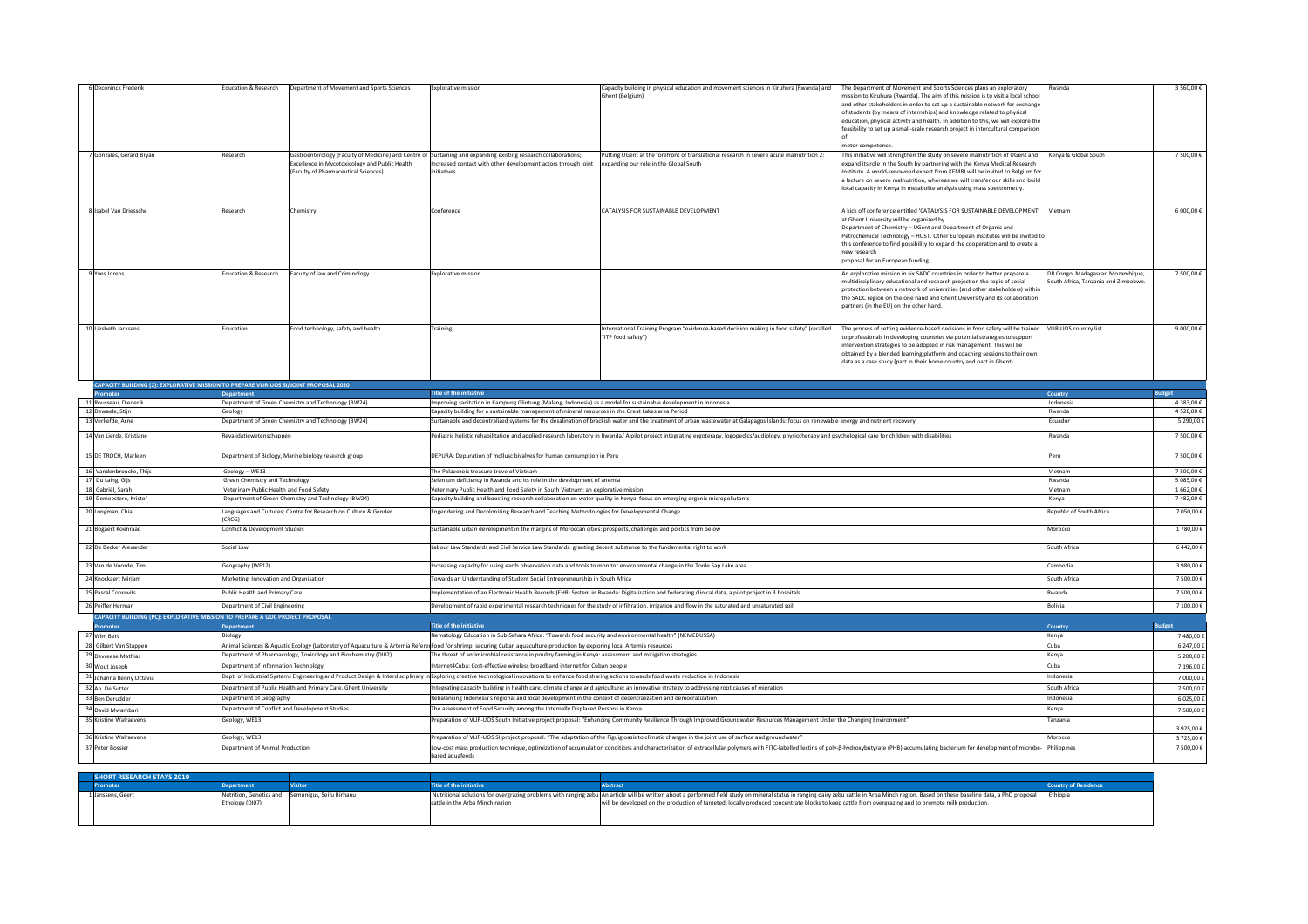| 6 Deconinck Frederik                                                                             | Education & Research                                                       | Department of Movement and Sports Sciences                                             | <b>Explorative mission</b>                                                                                                                                                                                             | Capacity building in physical education and movement sciences in Kiruhura (Rwanda) and<br>Ghent (Belgium)                                                                                                                      | The Department of Movement and Sports Sciences plans an exploratory<br>mission to Kiruhura (Rwanda). The aim of this mission is to visit a local school<br>and other stakeholders in order to set up a sustainable network for exchange<br>of students (by means of internships) and knowledge related to physical<br>education, physical activity and health. In addition to this, we will explore the<br>feasibility to set up a small-scale research project in intercultural comparison | Rwanda                                                                    | 3 560,00 €               |
|--------------------------------------------------------------------------------------------------|----------------------------------------------------------------------------|----------------------------------------------------------------------------------------|------------------------------------------------------------------------------------------------------------------------------------------------------------------------------------------------------------------------|--------------------------------------------------------------------------------------------------------------------------------------------------------------------------------------------------------------------------------|---------------------------------------------------------------------------------------------------------------------------------------------------------------------------------------------------------------------------------------------------------------------------------------------------------------------------------------------------------------------------------------------------------------------------------------------------------------------------------------------|---------------------------------------------------------------------------|--------------------------|
| 7 Gonzales, Gerard Bryan                                                                         | Research                                                                   | Excellence in Mycotoxicology and Public Health<br>(Faculty of Pharmaceutical Sciences) | Gastroenterology (Faculty of Medicine) and Centre of Sustaining and expanding existing research collaborations;<br>Increased contact with other development actors through joint<br>initiatives                        | Putting UGent at the forefront of translational research in severe acute malnutrition 2:<br>expanding our role in the Global South                                                                                             | motor competence.<br>This initiative will strengthen the study on severe malnutrition of UGent and<br>expand its role in the South by partnering with the Kenya Medical Research<br>Institute. A world-renowned expert from KEMRI will be invited to Belgium for<br>a lecture on severe malnutrition, whereas we will transfer our skills and build<br>local capacity in Kenya in metabolite analysis using mass spectrometry.                                                              | Kenya & Global South                                                      | 7 500,00 €               |
| 8 Isabel Van Driessche                                                                           | Research                                                                   | Chemistry                                                                              | Conference                                                                                                                                                                                                             | CATALYSIS FOR SUSTAINABLE DEVELOPMENT                                                                                                                                                                                          | A kick off conference entitled 'CATALYSIS FOR SUSTAINABLE DEVELOPMENT' Vietnam<br>at Ghent University will be organized by<br>Department of Chemistry - UGent and Department of Organic and<br>Petrochemical Technology - HUST. Other European institutes will be invited to<br>this conference to find possibility to expand the cooperation and to create a<br>new research<br>proposal for an European funding.                                                                          |                                                                           | 6 000,00 €               |
| 9 Yves Jorens                                                                                    | <b>Education &amp; Research</b>                                            | Faculty of law and Criminology                                                         | <b>Explorative mission</b>                                                                                                                                                                                             |                                                                                                                                                                                                                                | An explorative mission in six SADC countries in order to better prepare a<br>multidisciplinary educational and research project on the topic of social<br>protection between a network of universities (and other stakeholders) within<br>the SADC region on the one hand and Ghent University and its collaboration<br>partners (in the EU) on the other hand.                                                                                                                             | DR Congo, Madagascar, Mozambique,<br>South Africa, Tanzania and Zimbabwe. | 7 500,00 €               |
| 10 Liesbeth Jacxsens                                                                             | Education                                                                  | Food technology, safety and health                                                     | Training                                                                                                                                                                                                               | International Training Program "evidence-based decision making in food safety" (recalled<br>"ITP food safety")                                                                                                                 | The process of setting evidence-based decisions in food safety will be trained<br>to professionals in developing countries via potential strategies to support<br>intervention strategies to be adopted in risk management. This will be<br>obtained by a blended learning platform and coaching sessions to their own<br>data as a case study (part in their home country and part in Ghent).                                                                                              | VLIR-UOS country list                                                     | 9 000,00 €               |
| CAPACITY BUILDING (2): EXPLORATIVE MISSION TO PREPARE VLIR-UOS SI/JOINT PROPOSAL 2020            |                                                                            |                                                                                        |                                                                                                                                                                                                                        |                                                                                                                                                                                                                                |                                                                                                                                                                                                                                                                                                                                                                                                                                                                                             |                                                                           |                          |
| <b>Promoter</b>                                                                                  | <b>Department</b>                                                          | Department of Green Chemistry and Technology (BW24)                                    | <b>Title of the initiative</b>                                                                                                                                                                                         |                                                                                                                                                                                                                                |                                                                                                                                                                                                                                                                                                                                                                                                                                                                                             | <b>Country</b>                                                            | <b>Budget</b>            |
| 11 Rousseau, Diederik<br>12 Dewaele, Stijn                                                       | Geology                                                                    |                                                                                        | Improving sanitation in Kampung Glintung (Malang, Indonesia) as a model for sustainable development in Indonesia<br>Capacity building for a sustainable management of mineral resources in the Great Lakes area Period |                                                                                                                                                                                                                                |                                                                                                                                                                                                                                                                                                                                                                                                                                                                                             | Indonesia<br>Rwanda                                                       | 4 383,00 €<br>4 528,00 € |
| 13 Verliefde, Arne                                                                               |                                                                            | Department of Green Chemistry and Technology (BW24)                                    |                                                                                                                                                                                                                        | Sustainable and decentralized systems for the desalination of brackish water and the treatment of urban wastewater at Galapagos Islands: focus on renewable energy and nutrient recovery                                       |                                                                                                                                                                                                                                                                                                                                                                                                                                                                                             | Ecuador                                                                   | 5 290,00 €               |
| 14 Van Lierde, Kristiane                                                                         | Revalidatiewetenschappen                                                   |                                                                                        |                                                                                                                                                                                                                        | Pediatric holistic rehabilitation and applied research laboratory in Rwanda/ A pilot project integrating ergoterapy, logopedics/audiology, physiotherapy and psychological care for children with disabilities                 |                                                                                                                                                                                                                                                                                                                                                                                                                                                                                             | Rwanda                                                                    | 7 500,00 €               |
| 15 DE TROCH, Marleen                                                                             |                                                                            | Department of Biology, Marine biology research group                                   | DEPURA: Depuration of mollusc bivalves for human consumption in Peru                                                                                                                                                   |                                                                                                                                                                                                                                |                                                                                                                                                                                                                                                                                                                                                                                                                                                                                             | Peru                                                                      | 7 500,00 €               |
| 16 Vandenbroucke, Thijs                                                                          | Geology - WE13                                                             |                                                                                        | The Palaeozoic treasure trove of Vietnam<br>Selenium deficiency in Rwanda and its role in the development of anemia                                                                                                    |                                                                                                                                                                                                                                |                                                                                                                                                                                                                                                                                                                                                                                                                                                                                             | Vietnam                                                                   | 7 500,00 €<br>5 085,00 € |
| 17 Du Laing, Gijs<br>18 Gabriël, Sarah                                                           | Green Chemistry and Technology<br>Veterinary Public Health and Food Safety |                                                                                        | Veterinary Public Health and Food Safety in South Vietnam: an explorative mission                                                                                                                                      |                                                                                                                                                                                                                                |                                                                                                                                                                                                                                                                                                                                                                                                                                                                                             | Rwanda<br>Vietnam                                                         | 1 662,00 €               |
| 19 Demeestere, Kristof                                                                           |                                                                            | Department of Green Chemistry and Technology (BW24)                                    | Capacity building and boosting research collaboration on water quality in Kenya: focus on emerging organic micropollutants                                                                                             |                                                                                                                                                                                                                                |                                                                                                                                                                                                                                                                                                                                                                                                                                                                                             | Kenya                                                                     | 7482,00€                 |
| 20 Longman, Chia                                                                                 | (CRCG)                                                                     | Languages and Cultures; Centre for Research on Culture & Gender                        | Engendering and Decolonizing Research and Teaching Methodologies for Developmental Change                                                                                                                              |                                                                                                                                                                                                                                |                                                                                                                                                                                                                                                                                                                                                                                                                                                                                             | Republic of South Africa                                                  | 7 050,00€                |
| 21 Bogaert Koenraad                                                                              | Conflict & Development Studies                                             |                                                                                        | Sustainable urban development in the margins of Moroccan cities: prospects, challenges and politics from below                                                                                                         |                                                                                                                                                                                                                                |                                                                                                                                                                                                                                                                                                                                                                                                                                                                                             | Morocco                                                                   | 1 780,00 €               |
| 22 De Becker Alexander                                                                           | Social Law                                                                 |                                                                                        | Labour Law Standards and Civil Service Law Standards: granting decent substance to the fundamental right to work                                                                                                       |                                                                                                                                                                                                                                |                                                                                                                                                                                                                                                                                                                                                                                                                                                                                             | South Africa                                                              | 6 442,00 €               |
| 23 Van de Voorde, Tim                                                                            | Geography (WE12)                                                           |                                                                                        | Increasing capacity for using earth observation data and tools to monitor environmental change in the Tonle Sap Lake area.                                                                                             |                                                                                                                                                                                                                                |                                                                                                                                                                                                                                                                                                                                                                                                                                                                                             | Cambodia                                                                  | 3 980,00 €               |
| 24 Knockaert Mirjam                                                                              | Marketing, Innovation and Organisation                                     |                                                                                        | Towards an Understanding of Student Social Entrepreneurship in South Africa                                                                                                                                            |                                                                                                                                                                                                                                |                                                                                                                                                                                                                                                                                                                                                                                                                                                                                             | South Africa                                                              | 7 500,00 €               |
| 25 Pascal Coorevits                                                                              | Public Health and Primary Care                                             |                                                                                        |                                                                                                                                                                                                                        | Implementation of an Electronic Health Records (EHR) System in Rwanda: Digitalization and federating clinical data, a pilot project in 3 hospitals.                                                                            |                                                                                                                                                                                                                                                                                                                                                                                                                                                                                             | Rwanda                                                                    | 7 500,00 €               |
| 26 Peiffer Herman                                                                                | Department of Civil Engineering                                            |                                                                                        |                                                                                                                                                                                                                        | Development of rapid experimental research techniques for the study of infiltration, irrigation and flow in the saturated and unsaturated soil.                                                                                |                                                                                                                                                                                                                                                                                                                                                                                                                                                                                             | <b>Bolivia</b>                                                            | 7 100,00 €               |
| CAPACITY BUILDING (PC): EXPLORATIVE MISSION TO PREPARE A UDC PROJECT PROPOSAL<br><b>Promoter</b> | <b>Department</b>                                                          |                                                                                        | <b>Title of the initiative</b>                                                                                                                                                                                         |                                                                                                                                                                                                                                |                                                                                                                                                                                                                                                                                                                                                                                                                                                                                             | <b>Country</b>                                                            | <b>Budget</b>            |
| 27 Wim Bert                                                                                      | Biology                                                                    |                                                                                        | Nematology Education in Sub-Sahara Africa: "Towards food security and environmental health" (NEMEDUSSA)                                                                                                                |                                                                                                                                                                                                                                |                                                                                                                                                                                                                                                                                                                                                                                                                                                                                             | Kenya                                                                     | 7480,00€                 |
| 28 Gilbert Van Stappen                                                                           |                                                                            |                                                                                        | Animal Sciences & Aquatic Ecology (Laboratory of Aquaculture & Artemia Refere Food for shrimp: securing Cuban aquaculture production by exploring local Artemia resources                                              |                                                                                                                                                                                                                                |                                                                                                                                                                                                                                                                                                                                                                                                                                                                                             | Cuba                                                                      | 6 247,00 €               |
| 29 Devreese Mathias<br>30 Wout Joseph                                                            | Department of Information Technology                                       | Department of Pharmacology, Toxicology and Biochemistry (DI02)                         | The threat of antimicrobial resistance in poultry farming in Kenya: assessment and mitigation strategies<br>Internet4Cuba: Cost-effective wireless broadband internet for Cuban people                                 |                                                                                                                                                                                                                                |                                                                                                                                                                                                                                                                                                                                                                                                                                                                                             | Kenya                                                                     | 5 200,00 €               |
| 31 Johanna Renny Octavia                                                                         |                                                                            |                                                                                        | Dept. of Industrial Systems Engineering and Product Design & Interdisciplinary in Exploring creative technological innovations to enhance food sharing actions towards food waste reduction in Indonesia               |                                                                                                                                                                                                                                |                                                                                                                                                                                                                                                                                                                                                                                                                                                                                             | Cuba<br>Indonesia                                                         | 7 196,00 €<br>7 000,00 € |
| 32 An De Sutter                                                                                  |                                                                            | Department of Public Health and Primary Care, Ghent University                         |                                                                                                                                                                                                                        | Integrating capacity building in health care, climate change and agriculture: an innovative strategy to addressing root causes of migration                                                                                    |                                                                                                                                                                                                                                                                                                                                                                                                                                                                                             | South Africa                                                              | 7 500,00 €               |
| 33 Ben Derudder                                                                                  | Department of Geography                                                    |                                                                                        | Rebalancing Indonesia's regional and local development in the context of decentralization and democratization                                                                                                          |                                                                                                                                                                                                                                |                                                                                                                                                                                                                                                                                                                                                                                                                                                                                             | Indonesia                                                                 | 6 025,00 €               |
| 34 David Mwambari                                                                                |                                                                            | Department of Conflict and Development Studies                                         | The assessment of Food Security among the Internally Displaced Persons in Kenya                                                                                                                                        |                                                                                                                                                                                                                                |                                                                                                                                                                                                                                                                                                                                                                                                                                                                                             | Kenya                                                                     | 7 500,00 €               |
| 35 Kristine Walraevens                                                                           | Geology, WE13                                                              |                                                                                        |                                                                                                                                                                                                                        | Preparation of VLIR-UOS South Initiative project proposal: "Enhancing Community Resilience Through Improved Groundwater Resources Management Under the Changing Environment"                                                   |                                                                                                                                                                                                                                                                                                                                                                                                                                                                                             | Tanzania                                                                  | 3 925,00 €               |
| 36 Kristine Walraevens                                                                           | Geology, WE13                                                              |                                                                                        |                                                                                                                                                                                                                        | Preparation of VLIR-UOS SI project proposal: "The adaptation of the Figuig oasis to climatic changes in the joint use of surface and groundwater"                                                                              |                                                                                                                                                                                                                                                                                                                                                                                                                                                                                             | Morocco                                                                   | 3 725,00 €               |
| 37 Peter Bossier                                                                                 | Department of Animal Production                                            |                                                                                        | based aquafeeds                                                                                                                                                                                                        | Low-cost mass production technique, optimization of accumulation conditions and characterization of extracellular polymers with FITC-labelled lectins of poly-β-hydroxybutyrate (PHB)-accumulating bacterium for development o |                                                                                                                                                                                                                                                                                                                                                                                                                                                                                             |                                                                           | 7 500,00 €               |
| <b>SHORT RESEARCH STAYS 2019</b><br><b>Promoter</b>                                              | <b>Department</b>                                                          | <b>Visitor</b>                                                                         | <b>Title of the initiative</b>                                                                                                                                                                                         | <b>Abstract</b>                                                                                                                                                                                                                |                                                                                                                                                                                                                                                                                                                                                                                                                                                                                             | <b>Country of Residence</b>                                               |                          |
| 1 Janssens, Geert                                                                                | Nutrition, Genetics and                                                    | Semunigus, Seifu Birhanu                                                               |                                                                                                                                                                                                                        | Nutritional solutions for overgrazing problems with ranging zebu An article will be written about a performed field study on mineral status in ranging dairy zebu cattle in Arba Minch region. Based on these baseline data, a |                                                                                                                                                                                                                                                                                                                                                                                                                                                                                             | Ethiopia                                                                  |                          |
|                                                                                                  | Ethology (DI07)                                                            |                                                                                        | cattle in the Arba Minch region                                                                                                                                                                                        | will be developed on the production of targeted, locally produced concentrate blocks to keep cattle from overgrazing and to promote milk production.                                                                           |                                                                                                                                                                                                                                                                                                                                                                                                                                                                                             |                                                                           |                          |

|  | 6 Deconinck Frederik                                                                              | <b>Education &amp; Research</b>                | Department of Movement and Sports Sciences                      | <b>Explorative mission</b>                                                                                                                                                                               | Capacity building in physical education and movement sciences in Kiruhura (Rwanda) and                                                                                                                                       | The Department of Movement and Sports Sciences plans an exploratory                                                                                          | Rwanda                               | 3 560,00 €               |
|--|---------------------------------------------------------------------------------------------------|------------------------------------------------|-----------------------------------------------------------------|----------------------------------------------------------------------------------------------------------------------------------------------------------------------------------------------------------|------------------------------------------------------------------------------------------------------------------------------------------------------------------------------------------------------------------------------|--------------------------------------------------------------------------------------------------------------------------------------------------------------|--------------------------------------|--------------------------|
|  |                                                                                                   |                                                |                                                                 |                                                                                                                                                                                                          | Ghent (Belgium)                                                                                                                                                                                                              | mission to Kiruhura (Rwanda). The aim of this mission is to visit a local school                                                                             |                                      |                          |
|  |                                                                                                   |                                                |                                                                 |                                                                                                                                                                                                          |                                                                                                                                                                                                                              | and other stakeholders in order to set up a sustainable network for exchange                                                                                 |                                      |                          |
|  |                                                                                                   |                                                |                                                                 |                                                                                                                                                                                                          |                                                                                                                                                                                                                              | of students (by means of internships) and knowledge related to physical<br>education, physical activity and health. In addition to this, we will explore the |                                      |                          |
|  |                                                                                                   |                                                |                                                                 |                                                                                                                                                                                                          |                                                                                                                                                                                                                              | feasibility to set up a small-scale research project in intercultural comparison                                                                             |                                      |                          |
|  |                                                                                                   |                                                |                                                                 |                                                                                                                                                                                                          |                                                                                                                                                                                                                              |                                                                                                                                                              |                                      |                          |
|  |                                                                                                   |                                                |                                                                 |                                                                                                                                                                                                          |                                                                                                                                                                                                                              | motor competence.                                                                                                                                            |                                      |                          |
|  | 7 Gonzales, Gerard Bryan                                                                          | Research                                       |                                                                 | Gastroenterology (Faculty of Medicine) and Centre of Sustaining and expanding existing research collaborations;                                                                                          | Putting UGent at the forefront of translational research in severe acute malnutrition 2:                                                                                                                                     | This initiative will strengthen the study on severe malnutrition of UGent and                                                                                | Kenya & Global South                 | 7 500,00 €               |
|  |                                                                                                   |                                                | Excellence in Mycotoxicology and Public Health                  | Increased contact with other development actors through joint                                                                                                                                            | expanding our role in the Global South                                                                                                                                                                                       | expand its role in the South by partnering with the Kenya Medical Research                                                                                   |                                      |                          |
|  |                                                                                                   |                                                | (Faculty of Pharmaceutical Sciences)                            | initiatives                                                                                                                                                                                              |                                                                                                                                                                                                                              | Institute. A world-renowned expert from KEMRI will be invited to Belgium for                                                                                 |                                      |                          |
|  |                                                                                                   |                                                |                                                                 |                                                                                                                                                                                                          |                                                                                                                                                                                                                              | a lecture on severe malnutrition, whereas we will transfer our skills and build                                                                              |                                      |                          |
|  |                                                                                                   |                                                |                                                                 |                                                                                                                                                                                                          |                                                                                                                                                                                                                              | local capacity in Kenya in metabolite analysis using mass spectrometry.                                                                                      |                                      |                          |
|  |                                                                                                   |                                                |                                                                 |                                                                                                                                                                                                          |                                                                                                                                                                                                                              |                                                                                                                                                              |                                      |                          |
|  | 8 Isabel Van Driessche                                                                            | Research                                       | Chemistry                                                       | Conference                                                                                                                                                                                               | CATALYSIS FOR SUSTAINABLE DEVELOPMENT                                                                                                                                                                                        | A kick off conference entitled 'CATALYSIS FOR SUSTAINABLE DEVELOPMENT'   Vietnam                                                                             |                                      | 6 000,00 €               |
|  |                                                                                                   |                                                |                                                                 |                                                                                                                                                                                                          |                                                                                                                                                                                                                              | at Ghent University will be organized by                                                                                                                     |                                      |                          |
|  |                                                                                                   |                                                |                                                                 |                                                                                                                                                                                                          |                                                                                                                                                                                                                              | Department of Chemistry - UGent and Department of Organic and                                                                                                |                                      |                          |
|  |                                                                                                   |                                                |                                                                 |                                                                                                                                                                                                          |                                                                                                                                                                                                                              | Petrochemical Technology - HUST. Other European institutes will be invited to                                                                                |                                      |                          |
|  |                                                                                                   |                                                |                                                                 |                                                                                                                                                                                                          |                                                                                                                                                                                                                              | this conference to find possibility to expand the cooperation and to create a                                                                                |                                      |                          |
|  |                                                                                                   |                                                |                                                                 |                                                                                                                                                                                                          |                                                                                                                                                                                                                              | new research<br>proposal for an European funding.                                                                                                            |                                      |                          |
|  |                                                                                                   |                                                |                                                                 |                                                                                                                                                                                                          |                                                                                                                                                                                                                              |                                                                                                                                                              |                                      |                          |
|  | 9 Yves Jorens                                                                                     | <b>Education &amp; Research</b>                | Faculty of law and Criminology                                  | <b>Explorative mission</b>                                                                                                                                                                               |                                                                                                                                                                                                                              | An explorative mission in six SADC countries in order to better prepare a                                                                                    | DR Congo, Madagascar, Mozambique,    | 7 500,00 €               |
|  |                                                                                                   |                                                |                                                                 |                                                                                                                                                                                                          |                                                                                                                                                                                                                              | multidisciplinary educational and research project on the topic of social                                                                                    | South Africa, Tanzania and Zimbabwe. |                          |
|  |                                                                                                   |                                                |                                                                 |                                                                                                                                                                                                          |                                                                                                                                                                                                                              | protection between a network of universities (and other stakeholders) within                                                                                 |                                      |                          |
|  |                                                                                                   |                                                |                                                                 |                                                                                                                                                                                                          |                                                                                                                                                                                                                              | the SADC region on the one hand and Ghent University and its collaboration<br>partners (in the EU) on the other hand.                                        |                                      |                          |
|  |                                                                                                   |                                                |                                                                 |                                                                                                                                                                                                          |                                                                                                                                                                                                                              |                                                                                                                                                              |                                      |                          |
|  | 10 Liesbeth Jacxsens                                                                              | Education                                      | Food technology, safety and health                              | Training                                                                                                                                                                                                 | International Training Program "evidence-based decision making in food safety" (recalled                                                                                                                                     | The process of setting evidence-based decisions in food safety will be trained                                                                               | VLIR-UOS country list                | 9 000,00 €               |
|  |                                                                                                   |                                                |                                                                 |                                                                                                                                                                                                          | "ITP food safety")                                                                                                                                                                                                           | to professionals in developing countries via potential strategies to support                                                                                 |                                      |                          |
|  |                                                                                                   |                                                |                                                                 |                                                                                                                                                                                                          |                                                                                                                                                                                                                              | intervention strategies to be adopted in risk management. This will be                                                                                       |                                      |                          |
|  |                                                                                                   |                                                |                                                                 |                                                                                                                                                                                                          |                                                                                                                                                                                                                              | obtained by a blended learning platform and coaching sessions to their own                                                                                   |                                      |                          |
|  |                                                                                                   |                                                |                                                                 |                                                                                                                                                                                                          |                                                                                                                                                                                                                              | data as a case study (part in their home country and part in Ghent).                                                                                         |                                      |                          |
|  |                                                                                                   |                                                |                                                                 |                                                                                                                                                                                                          |                                                                                                                                                                                                                              |                                                                                                                                                              |                                      |                          |
|  | CAPACITY BUILDING (2): EXPLORATIVE MISSION TO PREPARE VLIR-UOS SI/JOINT PROPOSAL 2020<br>Promoter | <b>Department</b>                              |                                                                 | <b>Title of the initiative</b>                                                                                                                                                                           |                                                                                                                                                                                                                              |                                                                                                                                                              | <b>Country</b>                       | <b>Budget</b>            |
|  | 11 Rousseau, Diederik                                                                             |                                                | Department of Green Chemistry and Technology (BW24)             | Improving sanitation in Kampung Glintung (Malang, Indonesia) as a model for sustainable development in Indonesia                                                                                         |                                                                                                                                                                                                                              |                                                                                                                                                              | Indonesia                            | 4 383,00 €               |
|  | 12 Dewaele, Stijn                                                                                 | Geology                                        |                                                                 | Capacity building for a sustainable management of mineral resources in the Great Lakes area Period                                                                                                       |                                                                                                                                                                                                                              |                                                                                                                                                              | Rwanda                               | 4 528,00 €               |
|  | 13 Verliefde, Arne                                                                                |                                                | Department of Green Chemistry and Technology (BW24)             |                                                                                                                                                                                                          | Sustainable and decentralized systems for the desalination of brackish water and the treatment of urban wastewater at Galapagos Islands: focus on renewable energy and nutrient recovery                                     |                                                                                                                                                              | Ecuador                              | 5 290,00 €               |
|  | 14 Van Lierde, Kristiane<br>Revalidatiewetenschappen                                              |                                                |                                                                 |                                                                                                                                                                                                          |                                                                                                                                                                                                                              |                                                                                                                                                              |                                      |                          |
|  |                                                                                                   |                                                |                                                                 |                                                                                                                                                                                                          | Pediatric holistic rehabilitation and applied research laboratory in Rwanda/ A pilot project integrating ergoterapy, logopedics/audiology, physiotherapy and psychological care for children with disabilities               |                                                                                                                                                              | Rwanda                               | 7 500,00 €               |
|  |                                                                                                   |                                                |                                                                 |                                                                                                                                                                                                          |                                                                                                                                                                                                                              |                                                                                                                                                              |                                      |                          |
|  | 15 DE TROCH, Marleen                                                                              |                                                | Department of Biology, Marine biology research group            | DEPURA: Depuration of mollusc bivalves for human consumption in Peru                                                                                                                                     |                                                                                                                                                                                                                              |                                                                                                                                                              | Peru                                 | 7 500,00 €               |
|  | 16 Vandenbroucke, Thijs                                                                           | Geology - WE13                                 |                                                                 | The Palaeozoic treasure trove of Vietnam                                                                                                                                                                 |                                                                                                                                                                                                                              |                                                                                                                                                              | Vietnam                              | 7 500,00 €               |
|  | 17 Du Laing, Gijs                                                                                 | <b>Green Chemistry and Technology</b>          |                                                                 | Selenium deficiency in Rwanda and its role in the development of anemia                                                                                                                                  |                                                                                                                                                                                                                              |                                                                                                                                                              |                                      | 5 085,00 €               |
|  | 18 Gabriël, Sarah                                                                                 | Veterinary Public Health and Food Safety       |                                                                 | Veterinary Public Health and Food Safety in South Vietnam: an explorative mission                                                                                                                        |                                                                                                                                                                                                                              |                                                                                                                                                              | Vietnam                              | 1 662,00 €               |
|  | 19 Demeestere, Kristof                                                                            |                                                | Department of Green Chemistry and Technology (BW24)             | Capacity building and boosting research collaboration on water quality in Kenya: focus on emerging organic micropollutants                                                                               |                                                                                                                                                                                                                              |                                                                                                                                                              | Kenya                                | 7482,00€                 |
|  | 20 Longman, Chia                                                                                  |                                                | Languages and Cultures; Centre for Research on Culture & Gender | Engendering and Decolonizing Research and Teaching Methodologies for Developmental Change                                                                                                                |                                                                                                                                                                                                                              |                                                                                                                                                              | Republic of South Africa             | 7 050,00 €               |
|  |                                                                                                   | (CRCG)                                         |                                                                 |                                                                                                                                                                                                          |                                                                                                                                                                                                                              |                                                                                                                                                              |                                      |                          |
|  | 21 Bogaert Koenraad                                                                               | Conflict & Development Studies                 |                                                                 | Sustainable urban development in the margins of Moroccan cities: prospects, challenges and politics from below                                                                                           |                                                                                                                                                                                                                              |                                                                                                                                                              | Morocco                              | 1 780,00 €               |
|  |                                                                                                   |                                                |                                                                 |                                                                                                                                                                                                          |                                                                                                                                                                                                                              |                                                                                                                                                              |                                      |                          |
|  | 22 De Becker Alexander                                                                            | Social Law                                     |                                                                 | Labour Law Standards and Civil Service Law Standards: granting decent substance to the fundamental right to work                                                                                         |                                                                                                                                                                                                                              |                                                                                                                                                              | South Africa                         | 6 442,00 €               |
|  | 23 Van de Voorde, Tim                                                                             | Geography (WE12)                               |                                                                 | Increasing capacity for using earth observation data and tools to monitor environmental change in the Tonle Sap Lake area.                                                                               |                                                                                                                                                                                                                              |                                                                                                                                                              | Cambodia                             | 3 980,00 €               |
|  | 24 Knockaert Mirjam                                                                               | Marketing, Innovation and Organisation         |                                                                 | Towards an Understanding of Student Social Entrepreneurship in South Africa                                                                                                                              |                                                                                                                                                                                                                              |                                                                                                                                                              | South Africa                         | 7 500,00 €               |
|  | 25 Pascal Coorevits                                                                               | Public Health and Primary Care                 |                                                                 |                                                                                                                                                                                                          | Implementation of an Electronic Health Records (EHR) System in Rwanda: Digitalization and federating clinical data, a pilot project in 3 hospitals.                                                                          |                                                                                                                                                              | Rwanda                               | 7 500,00 €               |
|  | 26 Peiffer Herman                                                                                 | Department of Civil Engineering                |                                                                 |                                                                                                                                                                                                          | Development of rapid experimental research techniques for the study of infiltration, irrigation and flow in the saturated and unsaturated soil.                                                                              |                                                                                                                                                              | <b>Bolivia</b>                       | 7 100,00 €               |
|  | CAPACITY BUILDING (PC): EXPLORATIVE MISSION TO PREPARE A UDC PROJECT PROPOSAL                     |                                                |                                                                 |                                                                                                                                                                                                          |                                                                                                                                                                                                                              |                                                                                                                                                              |                                      |                          |
|  | Promoter                                                                                          | <b>Department</b>                              |                                                                 | <b>Title of the initiative</b>                                                                                                                                                                           |                                                                                                                                                                                                                              |                                                                                                                                                              | <b>Country</b>                       | <b>Budget</b>            |
|  | 27 Wim Bert                                                                                       | Biology                                        |                                                                 | Nematology Education in Sub-Sahara Africa: "Towards food security and environmental health" (NEMEDUSSA)                                                                                                  |                                                                                                                                                                                                                              |                                                                                                                                                              | Kenya                                | 7 480,00 €               |
|  | 28 Gilbert Van Stappen                                                                            |                                                |                                                                 | Animal Sciences & Aquatic Ecology (Laboratory of Aquaculture & Artemia Refere Food for shrimp: securing Cuban aquaculture production by exploring local Artemia resources                                |                                                                                                                                                                                                                              |                                                                                                                                                              | Cuba                                 | 6 247,00 €               |
|  | 29 Devreese Mathias                                                                               |                                                | Department of Pharmacology, Toxicology and Biochemistry (DI02)  | The threat of antimicrobial resistance in poultry farming in Kenya: assessment and mitigation strategies                                                                                                 |                                                                                                                                                                                                                              |                                                                                                                                                              | Kenya                                | 5 200,00 €               |
|  | 30 Wout Joseph                                                                                    | Department of Information Technology           |                                                                 | Internet4Cuba: Cost-effective wireless broadband internet for Cuban people                                                                                                                               |                                                                                                                                                                                                                              |                                                                                                                                                              | Cuba:                                | 7 196,00 €               |
|  |                                                                                                   |                                                |                                                                 | Dept. of Industrial Systems Engineering and Product Design & Interdisciplinary in Exploring creative technological innovations to enhance food sharing actions towards food waste reduction in Indonesia |                                                                                                                                                                                                                              |                                                                                                                                                              | Indonesia                            |                          |
|  | 31 Johanna Renny Octavia                                                                          |                                                |                                                                 |                                                                                                                                                                                                          |                                                                                                                                                                                                                              |                                                                                                                                                              |                                      | 7 000,00 €               |
|  | 32 An De Sutter                                                                                   |                                                | Department of Public Health and Primary Care, Ghent University  |                                                                                                                                                                                                          | Integrating capacity building in health care, climate change and agriculture: an innovative strategy to addressing root causes of migration                                                                                  |                                                                                                                                                              | South Africa                         | 7 500,00 €               |
|  | 33 Ben Derudder                                                                                   | Department of Geography                        |                                                                 | Rebalancing Indonesia's regional and local development in the context of decentralization and democratization                                                                                            |                                                                                                                                                                                                                              |                                                                                                                                                              | ndonesia                             | 6 025,00 €               |
|  | 34 David Mwambari                                                                                 | Department of Conflict and Development Studies |                                                                 | The assessment of Food Security among the Internally Displaced Persons in Kenya                                                                                                                          |                                                                                                                                                                                                                              |                                                                                                                                                              | Kenya                                | 7 500,00 €               |
|  | 35 Kristine Walraevens                                                                            | Geology, WE13                                  |                                                                 |                                                                                                                                                                                                          | Preparation of VLIR-UOS South Initiative project proposal: "Enhancing Community Resilience Through Improved Groundwater Resources Management Under the Changing Environment"                                                 |                                                                                                                                                              | Tanzania                             |                          |
|  | 36 Kristine Walraevens                                                                            | Geology, WE13                                  |                                                                 |                                                                                                                                                                                                          | Preparation of VLIR-UOS SI project proposal: "The adaptation of the Figuig oasis to climatic changes in the joint use of surface and groundwater"                                                                            |                                                                                                                                                              | Morocco                              | 3 925,00 €<br>3 725,00 € |
|  | 37 Peter Bossier                                                                                  | Department of Animal Production                |                                                                 |                                                                                                                                                                                                          | Low-cost mass production technique, optimization of accumulation conditions and characterization of extracellular polymers with FITC-labelled lectins of poly-β-hydroxybutyrate (PHB)-accumulating bacterium for development |                                                                                                                                                              | Philippines                          | 7 500,00 €               |
|  |                                                                                                   |                                                |                                                                 | based aquafeeds                                                                                                                                                                                          |                                                                                                                                                                                                                              |                                                                                                                                                              |                                      |                          |
|  | <b>SHORT RESEARCH STAYS 2019</b>                                                                  |                                                |                                                                 |                                                                                                                                                                                                          |                                                                                                                                                                                                                              |                                                                                                                                                              |                                      |                          |
|  | Promoter                                                                                          | <b>Department</b>                              | <b>Visitor</b>                                                  | <b>Title of the initiative</b>                                                                                                                                                                           | <b>Abstract</b>                                                                                                                                                                                                              |                                                                                                                                                              | <b>Country of Residence</b>          |                          |
|  | 1 Janssens, Geert                                                                                 | Nutrition, Genetics and                        | Semunigus, Seifu Birhanu                                        | Nutritional solutions for overgrazing problems with ranging zeb                                                                                                                                          | u An article will be written about a performed field study on mineral status in ranging dairy zebu cattle in Arba Minch region. Based on these baseline data, a PhD proposal                                                 |                                                                                                                                                              | Ethiopia                             |                          |
|  |                                                                                                   | Ethology (DI07)                                |                                                                 | cattle in the Arba Minch region                                                                                                                                                                          | will be developed on the production of targeted, locally produced concentrate blocks to keep cattle from overgrazing and to promote milk production.                                                                         |                                                                                                                                                              |                                      |                          |
|  |                                                                                                   |                                                |                                                                 |                                                                                                                                                                                                          |                                                                                                                                                                                                                              |                                                                                                                                                              |                                      |                          |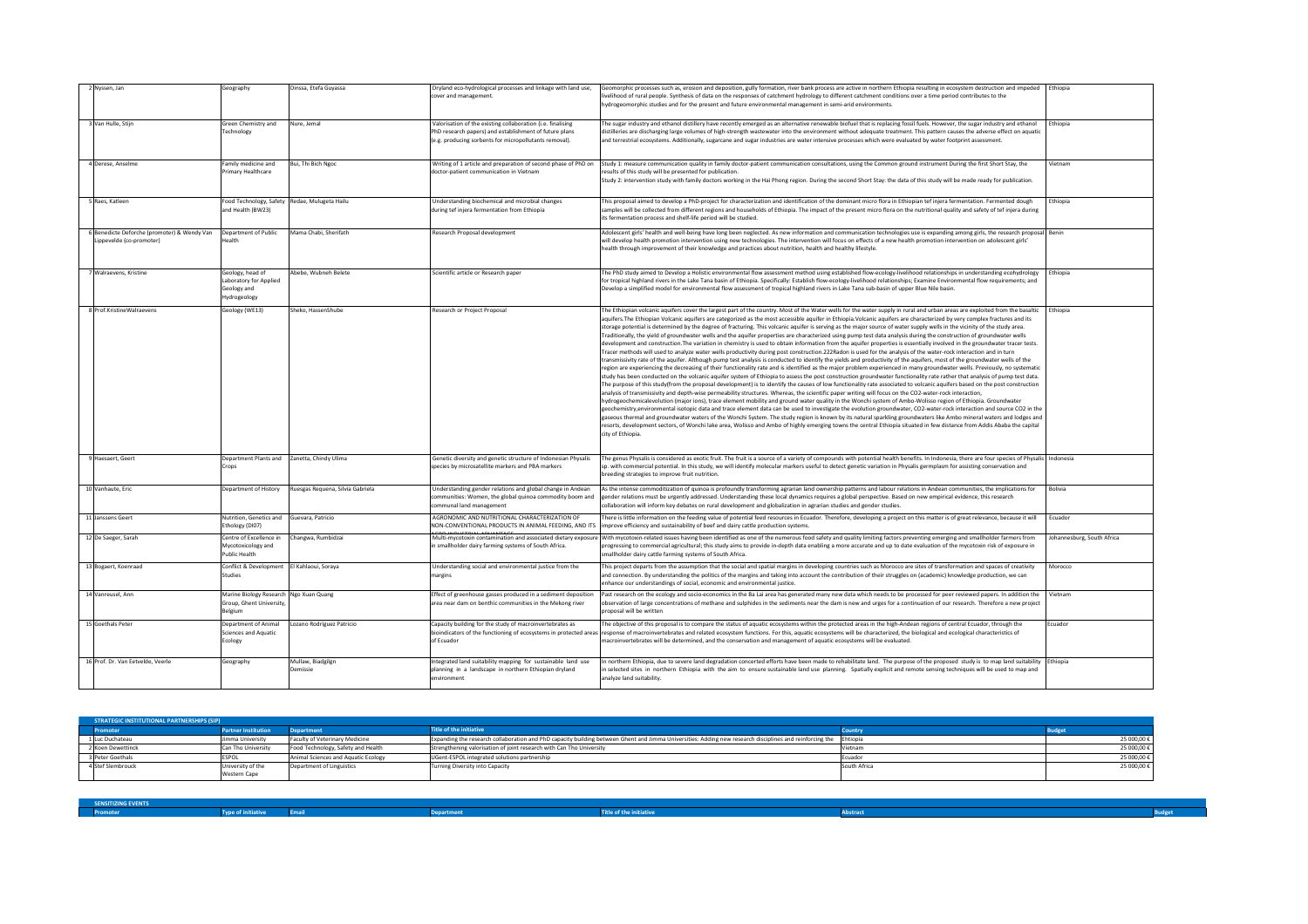| 2 Nyssen, Jan                                                           | Geography                                                                     | Dinssa, Etefa Guyassa            | Dryland eco-hydrological processes and linkage with land use,<br>cover and management.                                                                                          |
|-------------------------------------------------------------------------|-------------------------------------------------------------------------------|----------------------------------|---------------------------------------------------------------------------------------------------------------------------------------------------------------------------------|
| 3 Van Hulle, Stijn                                                      | Green Chemistry and<br>Technology                                             | Nure, Jemal                      | Valorisation of the existing collaboration (i.e. finalising<br>PhD research papers) and establishment of future plans<br>(e.g. producing sorbents for micropollutants removal). |
| 4 Derese, Anselme                                                       | Family medicine and<br>Primary Healthcare                                     | Bui, Thi Bich Ngoc               | Writing of 1 article and preparation of second phase of PhD on<br>doctor-patient communication in Vietnam                                                                       |
| 5 Raes, Katleen                                                         | Food Technology, Safety<br>and Health (BW23)                                  | Redae, Mulugeta Hailu            | Understanding biochemical and microbial changes<br>during tef injera fermentation from Ethiopia                                                                                 |
| 6 Benedicte Deforche (promoter) & Wendy Van<br>Lippevelde (co-promoter) | Department of Public<br>Health                                                | Mama Chabi, Sherifath            | Research Proposal development                                                                                                                                                   |
| 7 Walraevens, Kristine                                                  | Geology, head of<br>Laboratory for Applied<br>Geology and<br>Hydrogeology     | Abebe, Wubneh Belete             | Scientific article or Research paper                                                                                                                                            |
| 8 Prof.KristineWalraevens                                               | Geology (WE13)                                                                | Sheko, HassenShube               | Research or Project Proposal                                                                                                                                                    |
| 9 Haesaert, Geert                                                       | Department Plants and<br>Crops                                                | Zanetta, Chindy Ulima            | Genetic diversity and genetic structure of Indonesian Physalis<br>species by microsatellite markers and PBA markers                                                             |
| 10 Vanhaute, Eric                                                       | Department of History                                                         | Ruesgas Requena, Silvia Gabriela | Understanding gender relations and global change in Andean<br>communities: Women, the global quinoa commodity boom and<br>communal land management                              |
| 11 Janssens Geert                                                       | Nutrition, Genetics and<br>Ethology (DI07)                                    | Guevara, Patricio                | AGRONOMIC AND NUTRITIONAL CHARACTERIZATION OF<br>NON-CONVENTIONAL PRODUCTS IN ANIMAL FEEDING, AND ITS                                                                           |
| 12 De Saeger, Sarah                                                     | Centre of Excellence in<br>Mycotoxicology and<br><b>Public Health</b>         | Changwa, Rumbidzai               | Multi-mycotoxin contamination and associated dietary exposure<br>in smallholder dairy farming systems of South Africa.                                                          |
| 13 Bogaert, Koenraad                                                    | Conflict & Development<br><b>Studies</b>                                      | El Kahlaoui, Soraya              | Understanding social and environmental justice from the<br>margins                                                                                                              |
| 14 Vanreusel, Ann                                                       | Marine Biology Research Ngo Xuan Quang<br>Group, Ghent University,<br>Belgium |                                  | Effect of greenhouse gasses produced in a sediment deposition<br>area near dam on benthic communities in the Mekong river                                                       |
| 15 Goethals Peter                                                       | Department of Animal<br><b>Sciences and Aquatic</b><br>Ecology                | Lozano Rodríguez Patricio        | Capacity building for the study of macroinvertebrates as<br>bioindicators of the functioning of ecosystems in protected areas<br>of Ecuador                                     |
| 16 Prof. Dr. Van Eetvelde, Veerle                                       | Geography                                                                     | Mullaw, Biadgilgn<br>Demissie    | Integrated land suitability mapping for sustainable land use<br>planning in a landscape in northern Ethiopian dryland<br>environment                                            |

| <b>Example 25 SENSITIZING EVENTS</b> |                           |      |                   |                                |          |  |
|--------------------------------------|---------------------------|------|-------------------|--------------------------------|----------|--|
| Promoter                             | <b>Type of initiative</b> | mail | <b>Department</b> | <b>Title of the initiative</b> | A hetrar |  |

| 25 000,00 € |
|-------------|
| 25 000,00 € |
| 25 000,00 € |
| 25 000,00 € |
|             |





| <b>STRATEGIC INSTITUTIONAL PARTNERSHIPS (SIP)</b> |                            |                                       |                                                                      |
|---------------------------------------------------|----------------------------|---------------------------------------|----------------------------------------------------------------------|
| <b>Promoter</b>                                   | <b>Partner Institution</b> | <b>Department</b>                     | <b>Title of the initiative</b>                                       |
| 1 Luc Duchateau                                   | Jimma University           | <b>Faculty of Veterinary Medicine</b> | Expanding the research collaboration and PhD capacity building bet   |
| 2 Koen Dewettinck                                 | Can Tho University         | Food Technology, Safety and Health    | Strengthening valorisation of joint research with Can Tho University |
| 3 Peter Goethals                                  | <b>IESPOL</b>              | Animal Sciences and Aquatic Ecology   | UGent-ESPOL integrated solutions partnership                         |
| 4 Stef Slembrouck                                 | University of the          | Department of Linguistics             | Turning Diversity into Capacity                                      |
|                                                   | <b>Western Cape</b>        |                                       |                                                                      |

| 2 Nyssen, Jan                                                         | Geography                                                                       | Dinssa, Etefa Guyassa                         | Dryland eco-hydrological processes and linkage with land use,<br>cover and management.                                                                                          | Geomorphic processes such as, erosion and deposition, gully formation, river bank process are active in northern Ethiopia resulting in ecosystem destruction and impeded   Ethiopia<br>livelihood of rural people. Synthesis of data on the responses of catchment hydrology to different catchment conditions over a time period contributes to the                                                                                                                                                                                                                                                                                                                                                                                                                                                                                                                                                                                                                                                                                                                                                                                                                                                                                                                                                                                                                                                                                                                                                                                                                                                                                                                                                                                                                                                                                                                                                                                                                                                                                                                                                                                                                                                                                                                                                                                                                                                                                                                                                                                                                                                                                                                                    |                            |
|-----------------------------------------------------------------------|---------------------------------------------------------------------------------|-----------------------------------------------|---------------------------------------------------------------------------------------------------------------------------------------------------------------------------------|-----------------------------------------------------------------------------------------------------------------------------------------------------------------------------------------------------------------------------------------------------------------------------------------------------------------------------------------------------------------------------------------------------------------------------------------------------------------------------------------------------------------------------------------------------------------------------------------------------------------------------------------------------------------------------------------------------------------------------------------------------------------------------------------------------------------------------------------------------------------------------------------------------------------------------------------------------------------------------------------------------------------------------------------------------------------------------------------------------------------------------------------------------------------------------------------------------------------------------------------------------------------------------------------------------------------------------------------------------------------------------------------------------------------------------------------------------------------------------------------------------------------------------------------------------------------------------------------------------------------------------------------------------------------------------------------------------------------------------------------------------------------------------------------------------------------------------------------------------------------------------------------------------------------------------------------------------------------------------------------------------------------------------------------------------------------------------------------------------------------------------------------------------------------------------------------------------------------------------------------------------------------------------------------------------------------------------------------------------------------------------------------------------------------------------------------------------------------------------------------------------------------------------------------------------------------------------------------------------------------------------------------------------------------------------------------|----------------------------|
|                                                                       |                                                                                 |                                               |                                                                                                                                                                                 | hydrogeomorphic studies and for the present and future environmental management in semi-arid environments.                                                                                                                                                                                                                                                                                                                                                                                                                                                                                                                                                                                                                                                                                                                                                                                                                                                                                                                                                                                                                                                                                                                                                                                                                                                                                                                                                                                                                                                                                                                                                                                                                                                                                                                                                                                                                                                                                                                                                                                                                                                                                                                                                                                                                                                                                                                                                                                                                                                                                                                                                                              |                            |
| 3 Van Hulle, Stijn                                                    | Green Chemistry and<br>Technology                                               | Nure, Jemal                                   | Valorisation of the existing collaboration (i.e. finalising<br>PhD research papers) and establishment of future plans<br>(e.g. producing sorbents for micropollutants removal). | The sugar industry and ethanol distillery have recently emerged as an alternative renewable biofuel that is replacing fossil fuels. However, the sugar industry and ethanol<br>distilleries are discharging large volumes of high-strength wastewater into the environment without adequate treatment. This pattern causes the adverse effect on aquatic<br>and terrestrial ecosystems. Additionally, sugarcane and sugar industries are water intensive processes which were evaluated by water footprint assessment.                                                                                                                                                                                                                                                                                                                                                                                                                                                                                                                                                                                                                                                                                                                                                                                                                                                                                                                                                                                                                                                                                                                                                                                                                                                                                                                                                                                                                                                                                                                                                                                                                                                                                                                                                                                                                                                                                                                                                                                                                                                                                                                                                                  | Ethiopia                   |
| 4 Derese, Anselme                                                     | Family medicine and<br>Primary Healthcare                                       | Bui, Thi Bich Ngoc                            | Writing of 1 article and preparation of second phase of PhD on<br>doctor-patient communication in Vietnam                                                                       | Study 1: measure communication quality in family doctor-patient communication consultations, using the Common ground instrument During the first Short Stay, the<br>results of this study will be presented for publication.<br>Study 2: intervention study with family doctors working in the Hai Phong region. During the second Short Stay: the data of this study will be made ready for publication.                                                                                                                                                                                                                                                                                                                                                                                                                                                                                                                                                                                                                                                                                                                                                                                                                                                                                                                                                                                                                                                                                                                                                                                                                                                                                                                                                                                                                                                                                                                                                                                                                                                                                                                                                                                                                                                                                                                                                                                                                                                                                                                                                                                                                                                                               | Vietnam                    |
| Raes, Katleen                                                         | and Health (BW23)                                                               | Food Technology, Safety Redae, Mulugeta Hailu | Understanding biochemical and microbial changes<br>during tef injera fermentation from Ethiopia                                                                                 | This proposal aimed to develop a PhD-project for characterization and identification of the dominant micro flora in Ethiopian tef injera fermentation. Fermented dough<br>samples will be collected from different regions and households of Ethiopia. The impact of the present micro flora on the nutritional quality and safety of tef injera during<br>its fermentation process and shelf-life period will be studied                                                                                                                                                                                                                                                                                                                                                                                                                                                                                                                                                                                                                                                                                                                                                                                                                                                                                                                                                                                                                                                                                                                                                                                                                                                                                                                                                                                                                                                                                                                                                                                                                                                                                                                                                                                                                                                                                                                                                                                                                                                                                                                                                                                                                                                               | Ethiopia                   |
| Benedicte Deforche (promoter) & Wendy Van<br>Lippevelde (co-promoter) | Department of Public<br>Health.                                                 | Mama Chabi, Sherifath                         | Research Proposal development                                                                                                                                                   | Adolescent girls' health and well-being have long been neglected. As new information and communication technologies use is expanding among girls, the research proposal   Benin<br>will develop health promotion intervention using new technologies. The intervention will focus on effects of a new health promotion intervention on adolescent girls'<br>health through improvement of their knowledge and practices about nutrition, health and healthy lifestyle.                                                                                                                                                                                                                                                                                                                                                                                                                                                                                                                                                                                                                                                                                                                                                                                                                                                                                                                                                                                                                                                                                                                                                                                                                                                                                                                                                                                                                                                                                                                                                                                                                                                                                                                                                                                                                                                                                                                                                                                                                                                                                                                                                                                                                  |                            |
| 7 Walraevens, Kristine                                                | Geology, head of<br>Laboratory for Applied<br>Geology and<br>Hydrogeology       | Abebe, Wubneh Belete                          | Scientific article or Research paper                                                                                                                                            | The PhD study aimed to Develop a Holistic environmental flow assessment method using established flow-ecology-livelihood relationships in understanding ecohydrology<br>for tropical highland rivers in the Lake Tana basin of Ethiopia. Specifically: Establish flow-ecology-livelihood relationships; Examine Environmental flow requirements; and<br>Develop a simplified model for environmental flow assessment of tropical highland rivers in Lake Tana sub-basin of upper Blue Nile basin.                                                                                                                                                                                                                                                                                                                                                                                                                                                                                                                                                                                                                                                                                                                                                                                                                                                                                                                                                                                                                                                                                                                                                                                                                                                                                                                                                                                                                                                                                                                                                                                                                                                                                                                                                                                                                                                                                                                                                                                                                                                                                                                                                                                       | Ethiopia                   |
| 3 Prof.KristineWalraevens                                             | Geology (WE13)                                                                  | Sheko, HassenShube                            | Research or Project Proposal                                                                                                                                                    | The Ethiopian volcanic aquifers cover the largest part of the country. Most of the Water wells for the water supply in rural and urban areas are exploited from the basaltic   Ethiopia<br>aquifers. The Ethiopian Volcanic aquifers are categorized as the most accessible aquifer in Ethiopia. Volcanic aquifers are characterized by very complex fractures and its<br>storage potential is determined by the degree of fracturing. This volcanic aquifer is serving as the major source of water supply wells in the vicinity of the study area.<br>Traditionally, the yield of groundwater wells and the aquifer properties are characterized using pump test data analysis during the construction of groundwater wells<br>development and construction. The variation in chemistry is used to obtain information from the aquifer properties is essentially involved in the groundwater tracer tests.<br>Tracer methods will used to analyze water wells productivity during post construction.222Radon is used for the analysis of the water-rock interaction and in turn<br>transmissivity rate of the aquifer. Although pump test analysis is conducted to identify the yields and productivity of the aquifers, most of the groundwater wells of the<br>region are experiencing the decreasing of their functionality rate and is identified as the major problem experienced in many groundwater wells. Previously, no systematic<br>study has been conducted on the volcanic aquifer system of Ethiopia to assess the post construction groundwater functionality rate rather that analysis of pump test data.<br>The purpose of this study(from the proposal development) is to identify the causes of low functionality rate associated to volcanic aquifers based on the post construction<br>analysis of transmissivity and depth-wise permeability structures. Whereas, the scientific paper writing will focus on the CO2-water-rock interaction,<br>hydrogeochemicalevolution (major ions), trace element mobility and ground water quality in the Wonchi system of Ambo-Wolisso region of Ethiopia. Groundwater<br>geochemistry, environmental isotopic data and trace element data can be used to investigate the evolution groundwater, CO2-water-rock interaction and source CO2 in the<br>gaseous thermal and groundwater waters of the Wonchi System. The study region is known by its natural sparkling groundwaters like Ambo mineral waters and lodges and<br>resorts, development sectors, of Wonchi lake area, Wolisso and Ambo of highly emerging towns the central Ethiopia situated in few distance from Addis Ababa the capital<br>city of Ethiopia. |                            |
| 9 Haesaert, Geert                                                     | crops                                                                           | Department Plants and   Zanetta, Chindy Ulima | Genetic diversity and genetic structure of Indonesian Physalis<br>species by microsatellite markers and PBA markers                                                             | The genus Physalis is considered as exotic fruit. The fruit is a source of a variety of compounds with potential health benefits. In Indonesia, there are four species of Physalis   Indonesia<br>sp. with commercial potential. In this study, we will identify molecular markers useful to detect genetic variation in Physalis germplasm for assisting conservation and<br>breeding strategies to improve fruit nutrition.                                                                                                                                                                                                                                                                                                                                                                                                                                                                                                                                                                                                                                                                                                                                                                                                                                                                                                                                                                                                                                                                                                                                                                                                                                                                                                                                                                                                                                                                                                                                                                                                                                                                                                                                                                                                                                                                                                                                                                                                                                                                                                                                                                                                                                                           |                            |
| 0 Vanhaute, Eric                                                      | Department of History                                                           | Ruesgas Requena, Silvia Gabriela              | Understanding gender relations and global change in Andean<br>communities: Women, the global quinoa commodity boom and<br>communal land management                              | As the intense commoditization of quinoa is profoundly transforming agrarian land ownership patterns and labour relations in Andean communities, the implications for<br>gender relations must be urgently addressed. Understanding these local dynamics requires a global perspective. Based on new empirical evidence, this research<br>collaboration will inform key debates on rural development and globalization in agrarian studies and gender studies.                                                                                                                                                                                                                                                                                                                                                                                                                                                                                                                                                                                                                                                                                                                                                                                                                                                                                                                                                                                                                                                                                                                                                                                                                                                                                                                                                                                                                                                                                                                                                                                                                                                                                                                                                                                                                                                                                                                                                                                                                                                                                                                                                                                                                          | Bolivia                    |
| <b>Janssens Geert</b>                                                 | Nutrition, Genetics and Guevara, Patricio<br>Ethology (DI07)                    |                                               | AGRONOMIC AND NUTRITIONAL CHARACTERIZATION OF<br>NON-CONVENTIONAL PRODUCTS IN ANIMAL FEEDING, AND ITS                                                                           | There is little information on the feeding value of potential feed resources in Ecuador. Therefore, developing a project on this matter is of great relevance, because it will<br>improve efficiency and sustainability of beef and dairy cattle production systems.                                                                                                                                                                                                                                                                                                                                                                                                                                                                                                                                                                                                                                                                                                                                                                                                                                                                                                                                                                                                                                                                                                                                                                                                                                                                                                                                                                                                                                                                                                                                                                                                                                                                                                                                                                                                                                                                                                                                                                                                                                                                                                                                                                                                                                                                                                                                                                                                                    | Ecuador                    |
| De Saeger, Sarah                                                      | Centre of Excellence ir<br>Mycotoxicology and<br>Public Health                  | Changwa, Rumbidzai                            | Multi-mycotoxin contamination and associated dietary exposure<br>in smallholder dairy farming systems of South Africa.                                                          | With mycotoxin-related issues having been identified as one of the numerous food safety and quality limiting factors preventing emerging and smallholder farmers from<br>progressing to commercial agricultural; this study aims to provide in-depth data enabling a more accurate and up to date evaluation of the mycotoxin risk of exposure in<br>smallholder dairy cattle farming systems of South Africa.                                                                                                                                                                                                                                                                                                                                                                                                                                                                                                                                                                                                                                                                                                                                                                                                                                                                                                                                                                                                                                                                                                                                                                                                                                                                                                                                                                                                                                                                                                                                                                                                                                                                                                                                                                                                                                                                                                                                                                                                                                                                                                                                                                                                                                                                          | Johannesburg, South Africa |
| Bogaert, Koenraad                                                     | Conflict & Development<br>Studies                                               | El Kahlaoui, Soraya                           | Understanding social and environmental justice from the<br>margins                                                                                                              | This project departs from the assumption that the social and spatial margins in developing countries such as Morocco are sites of transformation and spaces of creativity<br>and connection. By understanding the politics of the margins and taking into account the contribution of their struggles on (academic) knowledge production, we can<br>enhance our understandings of social, economic and environmental justice.                                                                                                                                                                                                                                                                                                                                                                                                                                                                                                                                                                                                                                                                                                                                                                                                                                                                                                                                                                                                                                                                                                                                                                                                                                                                                                                                                                                                                                                                                                                                                                                                                                                                                                                                                                                                                                                                                                                                                                                                                                                                                                                                                                                                                                                           | Morocco                    |
| 4 Vanreusel, Ann                                                      | Marine Biology Research   Ngo Xuan Quang<br>Group, Ghent University,<br>Belgium |                                               | Effect of greenhouse gasses produced in a sediment deposition<br>area near dam on benthic communities in the Mekong river                                                       | Past research on the ecology and socio-economics in the Ba Lai area has generated many new data which needs to be processed for peer reviewed papers. In addition the Vietnam<br>observation of large concentrations of methane and sulphides in the sediments near the dam is new and urges for a continuation of our research. Therefore a new project<br>proposal will be written                                                                                                                                                                                                                                                                                                                                                                                                                                                                                                                                                                                                                                                                                                                                                                                                                                                                                                                                                                                                                                                                                                                                                                                                                                                                                                                                                                                                                                                                                                                                                                                                                                                                                                                                                                                                                                                                                                                                                                                                                                                                                                                                                                                                                                                                                                    |                            |
| 5 Goethals Peter                                                      | Department of Anima<br>Sciences and Aquatic<br>Ecology                          | ozano Rodríguez Patricio                      | Capacity building for the study of macroinvertebrates as<br>bioindicators of the functioning of ecosystems in protected areas<br>of Ecuador                                     | The objective of this proposal is to compare the status of aquatic ecosystems within the protected areas in the high-Andean regions of central Ecuador, through the<br>response of macroinvertebrates and related ecosystem functions. For this, aquatic ecosystems will be characterized, the biological and ecological characteristics of<br>macroinvertebrates will be determined, and the conservation and management of aquatic ecosystems will be evaluated.                                                                                                                                                                                                                                                                                                                                                                                                                                                                                                                                                                                                                                                                                                                                                                                                                                                                                                                                                                                                                                                                                                                                                                                                                                                                                                                                                                                                                                                                                                                                                                                                                                                                                                                                                                                                                                                                                                                                                                                                                                                                                                                                                                                                                      | Ecuador                    |
| 6 Prof. Dr. Van Eetvelde, Veerle                                      | Geography                                                                       | Mullaw, Biadgilgn<br>Demissie                 | Integrated land suitability mapping for sustainable land use<br>planning in a landscape in northern Ethiopian dryland<br>environment                                            | In northern Ethiopia, due to severe land degradation concerted efforts have been made to rehabilitate land. The purpose of the proposed study is to map land suitability [Ethiopia]<br>in selected sites in northern Ethiopia with the aim to ensure sustainable land use planning. Spatially explicit and remote sensing techniques will be used to map and<br>analyze land suitability.                                                                                                                                                                                                                                                                                                                                                                                                                                                                                                                                                                                                                                                                                                                                                                                                                                                                                                                                                                                                                                                                                                                                                                                                                                                                                                                                                                                                                                                                                                                                                                                                                                                                                                                                                                                                                                                                                                                                                                                                                                                                                                                                                                                                                                                                                               |                            |